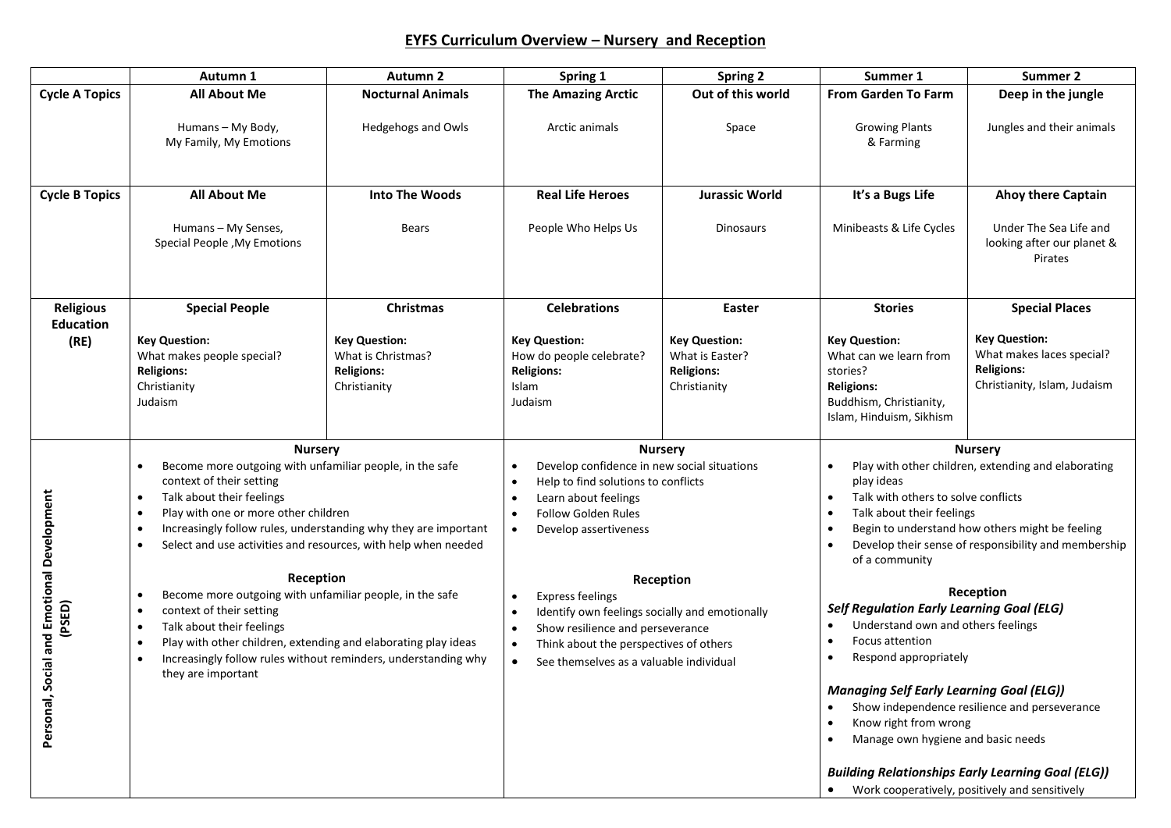## **EYFS Curriculum Overview – Nursery and Reception**

|                                            | Autumn 1                                                                                                                                                                                                                                                                                                                                                        | Autumn <sub>2</sub>                                                             | Spring 1                                                                                                                                                                                                                                                                         | <b>Spring 2</b>                                                                                                                                                                                                                                     | Summer 1                                                                                                                                                                                                                                                           | Summer 2                                                                                               |
|--------------------------------------------|-----------------------------------------------------------------------------------------------------------------------------------------------------------------------------------------------------------------------------------------------------------------------------------------------------------------------------------------------------------------|---------------------------------------------------------------------------------|----------------------------------------------------------------------------------------------------------------------------------------------------------------------------------------------------------------------------------------------------------------------------------|-----------------------------------------------------------------------------------------------------------------------------------------------------------------------------------------------------------------------------------------------------|--------------------------------------------------------------------------------------------------------------------------------------------------------------------------------------------------------------------------------------------------------------------|--------------------------------------------------------------------------------------------------------|
| <b>Cycle A Topics</b>                      | <b>All About Me</b>                                                                                                                                                                                                                                                                                                                                             | <b>Nocturnal Animals</b>                                                        | <b>The Amazing Arctic</b>                                                                                                                                                                                                                                                        | Out of this world                                                                                                                                                                                                                                   | <b>From Garden To Farm</b>                                                                                                                                                                                                                                         | Deep in the jungle                                                                                     |
|                                            | Humans - My Body,<br>My Family, My Emotions                                                                                                                                                                                                                                                                                                                     | Hedgehogs and Owls                                                              | Arctic animals                                                                                                                                                                                                                                                                   | Space                                                                                                                                                                                                                                               | <b>Growing Plants</b><br>& Farming                                                                                                                                                                                                                                 | Jungles and their animals                                                                              |
| <b>Cycle B Topics</b>                      | <b>All About Me</b>                                                                                                                                                                                                                                                                                                                                             | <b>Into The Woods</b>                                                           | <b>Real Life Heroes</b>                                                                                                                                                                                                                                                          | <b>Jurassic World</b>                                                                                                                                                                                                                               | It's a Bugs Life                                                                                                                                                                                                                                                   | <b>Ahoy there Captain</b>                                                                              |
|                                            | Humans - My Senses,<br>Special People, My Emotions                                                                                                                                                                                                                                                                                                              | <b>Bears</b>                                                                    | People Who Helps Us                                                                                                                                                                                                                                                              | <b>Dinosaurs</b>                                                                                                                                                                                                                                    | Minibeasts & Life Cycles                                                                                                                                                                                                                                           | Under The Sea Life and<br>looking after our planet &<br>Pirates                                        |
| <b>Religious</b>                           | <b>Special People</b>                                                                                                                                                                                                                                                                                                                                           | Christmas                                                                       | <b>Celebrations</b>                                                                                                                                                                                                                                                              | <b>Easter</b>                                                                                                                                                                                                                                       | <b>Stories</b>                                                                                                                                                                                                                                                     | <b>Special Places</b>                                                                                  |
| <b>Education</b><br>(RE)                   | <b>Key Question:</b><br>What makes people special?<br><b>Religions:</b><br>Christianity<br>Judaism                                                                                                                                                                                                                                                              | <b>Key Question:</b><br>What is Christmas?<br><b>Religions:</b><br>Christianity | <b>Key Question:</b><br>How do people celebrate?<br><b>Religions:</b><br>Islam<br>Judaism                                                                                                                                                                                        | <b>Key Question:</b><br>What is Easter?<br><b>Religions:</b><br>Christianity                                                                                                                                                                        | <b>Key Question:</b><br>What can we learn from<br>stories?<br><b>Religions:</b><br>Buddhism, Christianity,<br>Islam, Hinduism, Sikhism                                                                                                                             | <b>Key Question:</b><br>What makes laces special?<br><b>Religions:</b><br>Christianity, Islam, Judaism |
|                                            | <b>Nursery</b>                                                                                                                                                                                                                                                                                                                                                  |                                                                                 |                                                                                                                                                                                                                                                                                  | <b>Nursery</b>                                                                                                                                                                                                                                      |                                                                                                                                                                                                                                                                    | <b>Nursery</b>                                                                                         |
|                                            | Become more outgoing with unfamiliar people, in the safe<br>$\bullet$<br>context of their setting<br>Talk about their feelings<br>$\bullet$<br>Play with one or more other children<br>$\bullet$<br>Increasingly follow rules, understanding why they are important<br>$\bullet$<br>Select and use activities and resources, with help when needed<br>$\bullet$ |                                                                                 | Develop confidence in new social situations<br>$\bullet$<br>Help to find solutions to conflicts<br>$\bullet$<br>Learn about feelings<br>$\bullet$<br><b>Follow Golden Rules</b><br>$\bullet$<br>Develop assertiveness<br>$\bullet$                                               |                                                                                                                                                                                                                                                     | Play with other children, extending and elaborating<br>play ideas<br>Talk with others to solve conflicts<br>Talk about their feelings<br>Begin to understand how others might be feeling<br>Develop their sense of responsibility and membership<br>of a community |                                                                                                        |
| Social and Emotional Development<br>(PSED) | Reception<br>Become more outgoing with unfamiliar people, in the safe<br>$\bullet$<br>context of their setting<br>$\bullet$<br>Talk about their feelings<br>$\bullet$<br>Play with other children, extending and elaborating play ideas<br>$\bullet$<br>Increasingly follow rules without reminders, understanding why<br>they are important                    |                                                                                 | Reception<br><b>Express feelings</b><br>$\bullet$<br>Identify own feelings socially and emotionally<br>$\bullet$<br>Show resilience and perseverance<br>$\bullet$<br>Think about the perspectives of others<br>$\bullet$<br>See themselves as a valuable individual<br>$\bullet$ | Reception<br><b>Self Regulation Early Learning Goal (ELG)</b><br>Understand own and others feelings<br>Focus attention<br>Respond appropriately<br><b>Managing Self Early Learning Goal (ELG))</b><br>Show independence resilience and perseverance |                                                                                                                                                                                                                                                                    |                                                                                                        |
| Personal,                                  |                                                                                                                                                                                                                                                                                                                                                                 |                                                                                 |                                                                                                                                                                                                                                                                                  |                                                                                                                                                                                                                                                     | Know right from wrong<br>Manage own hygiene and basic needs<br>Work cooperatively, positively and sensitively                                                                                                                                                      | <b>Building Relationships Early Learning Goal (ELG))</b>                                               |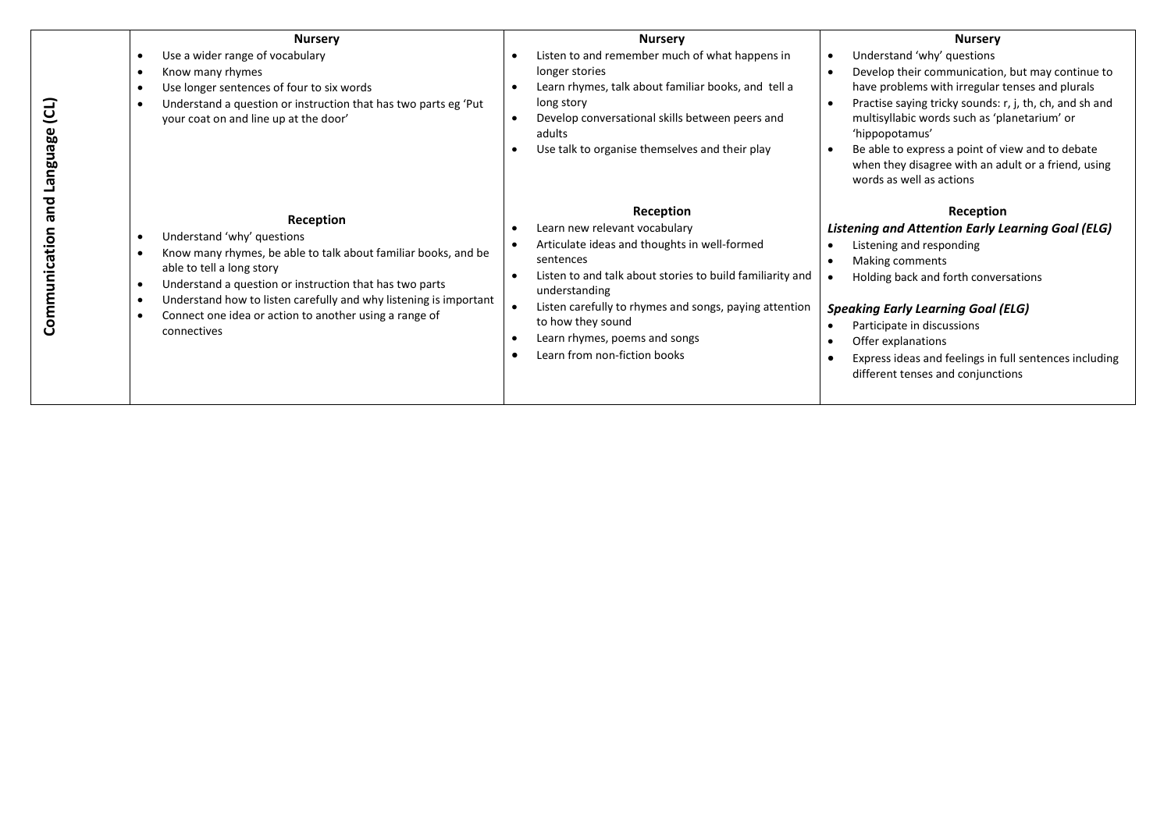|                       | <b>Nursery</b>                                                                                                                                                                                                                                                                                                                                            | <b>Nursery</b>                                                                                                                                                                                                                                                                                                                                     | <b>Nursery</b>                                                                                                                                                                                                                                                                                                                                                                                                     |
|-----------------------|-----------------------------------------------------------------------------------------------------------------------------------------------------------------------------------------------------------------------------------------------------------------------------------------------------------------------------------------------------------|----------------------------------------------------------------------------------------------------------------------------------------------------------------------------------------------------------------------------------------------------------------------------------------------------------------------------------------------------|--------------------------------------------------------------------------------------------------------------------------------------------------------------------------------------------------------------------------------------------------------------------------------------------------------------------------------------------------------------------------------------------------------------------|
| ຼີປ<br><b>Fauguen</b> | Use a wider range of vocabulary<br>Know many rhymes<br>Use longer sentences of four to six words<br>Understand a question or instruction that has two parts eg 'Put<br>your coat on and line up at the door'                                                                                                                                              | Listen to and remember much of what happens in<br>longer stories<br>Learn rhymes, talk about familiar books, and tell a<br>long story<br>Develop conversational skills between peers and<br>adults<br>Use talk to organise themselves and their play                                                                                               | Understand 'why' questions<br>Develop their communication, but may continue to<br>have problems with irregular tenses and plurals<br>Practise saying tricky sounds: r, j, th, ch, and sh and<br>$\bullet$<br>multisyllabic words such as 'planetarium' or<br>'hippopotamus'<br>Be able to express a point of view and to debate<br>when they disagree with an adult or a friend, using<br>words as well as actions |
| pue<br>Communication  | Reception<br>Understand 'why' questions<br>Know many rhymes, be able to talk about familiar books, and be<br>able to tell a long story<br>Understand a question or instruction that has two parts<br>٠<br>Understand how to listen carefully and why listening is important<br>٠<br>Connect one idea or action to another using a range of<br>connectives | Reception<br>Learn new relevant vocabulary<br>Articulate ideas and thoughts in well-formed<br>sentences<br>Listen to and talk about stories to build familiarity and<br>understanding<br>Listen carefully to rhymes and songs, paying attention<br>$\bullet$<br>to how they sound<br>Learn rhymes, poems and songs<br>Learn from non-fiction books | Reception<br><b>Listening and Attention Early Learning Goal (ELG)</b><br>Listening and responding<br>Making comments<br>Holding back and forth conversations<br><b>Speaking Early Learning Goal (ELG)</b><br>Participate in discussions<br>Offer explanations<br>Express ideas and feelings in full sentences including<br>different tenses and conjunctions                                                       |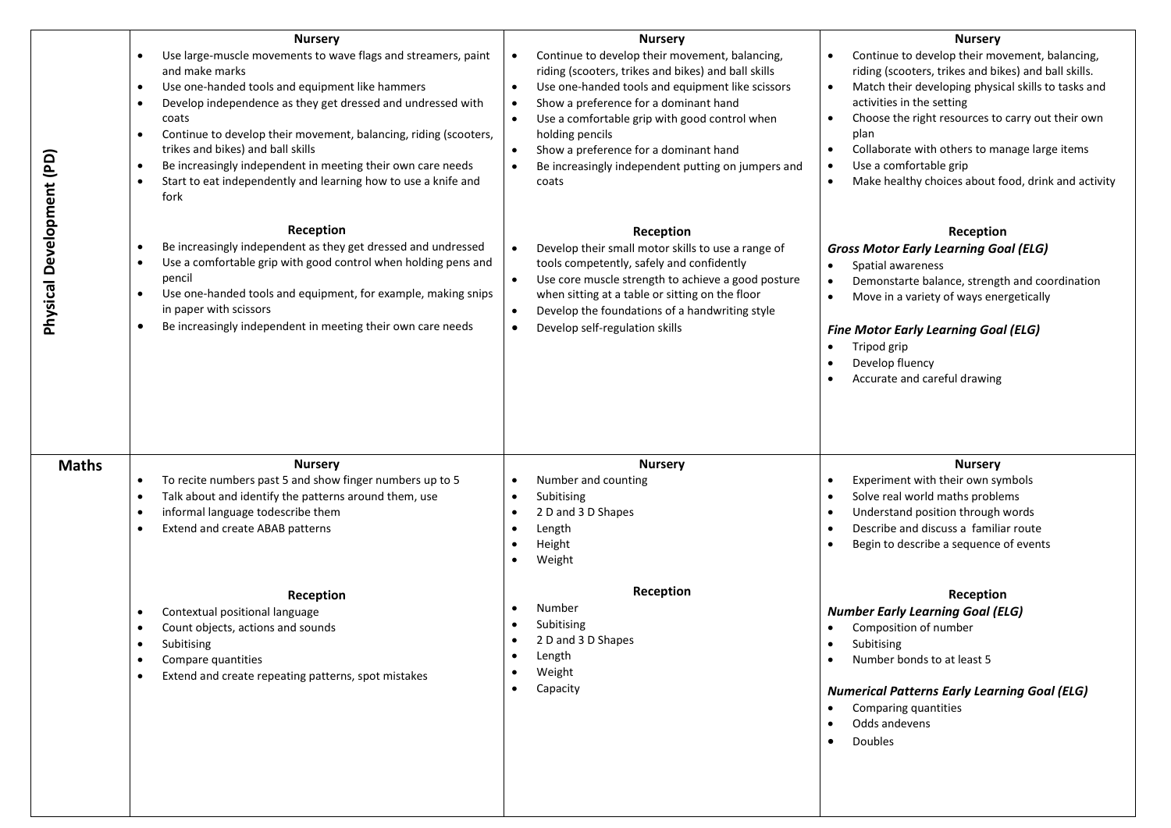|                           | <b>Nursery</b><br>Use large-muscle movements to wave flags and streamers, paint<br>$\bullet$<br>and make marks<br>Use one-handed tools and equipment like hammers<br>$\bullet$<br>Develop independence as they get dressed and undressed with<br>$\bullet$<br>coats<br>Continue to develop their movement, balancing, riding (scooters,<br>$\bullet$<br>trikes and bikes) and ball skills<br>Be increasingly independent in meeting their own care needs<br>٠<br>Start to eat independently and learning how to use a knife and<br>$\bullet$<br>fork | <b>Nursery</b><br>Continue to develop their movement, balancing,<br>$\bullet$<br>riding (scooters, trikes and bikes) and ball skills<br>Use one-handed tools and equipment like scissors<br>$\bullet$<br>Show a preference for a dominant hand<br>$\bullet$<br>Use a comfortable grip with good control when<br>$\bullet$<br>holding pencils<br>Show a preference for a dominant hand<br>$\bullet$<br>Be increasingly independent putting on jumpers and<br>$\bullet$<br>coats | <b>Nursery</b><br>Continue to develop their movement, balancing,<br>$\bullet$<br>riding (scooters, trikes and bikes) and ball skills.<br>Match their developing physical skills to tasks and<br>$\bullet$<br>activities in the setting<br>Choose the right resources to carry out their own<br>$\bullet$<br>plan<br>Collaborate with others to manage large items<br>$\bullet$<br>Use a comfortable grip<br>Make healthy choices about food, drink and activity<br>$\bullet$ |
|---------------------------|------------------------------------------------------------------------------------------------------------------------------------------------------------------------------------------------------------------------------------------------------------------------------------------------------------------------------------------------------------------------------------------------------------------------------------------------------------------------------------------------------------------------------------------------------|--------------------------------------------------------------------------------------------------------------------------------------------------------------------------------------------------------------------------------------------------------------------------------------------------------------------------------------------------------------------------------------------------------------------------------------------------------------------------------|------------------------------------------------------------------------------------------------------------------------------------------------------------------------------------------------------------------------------------------------------------------------------------------------------------------------------------------------------------------------------------------------------------------------------------------------------------------------------|
| Physical Development (PD) | Reception<br>Be increasingly independent as they get dressed and undressed<br>Use a comfortable grip with good control when holding pens and<br>$\bullet$<br>pencil<br>Use one-handed tools and equipment, for example, making snips<br>$\bullet$<br>in paper with scissors<br>Be increasingly independent in meeting their own care needs<br>$\bullet$                                                                                                                                                                                              | Reception<br>Develop their small motor skills to use a range of<br>$\bullet$<br>tools competently, safely and confidently<br>Use core muscle strength to achieve a good posture<br>$\bullet$<br>when sitting at a table or sitting on the floor<br>Develop the foundations of a handwriting style<br>$\bullet$<br>Develop self-regulation skills<br>$\bullet$                                                                                                                  | Reception<br><b>Gross Motor Early Learning Goal (ELG)</b><br>Spatial awareness<br>$\bullet$<br>Demonstarte balance, strength and coordination<br>$\bullet$<br>Move in a variety of ways energetically<br>$\bullet$<br><b>Fine Motor Early Learning Goal (ELG)</b><br>Tripod grip<br>$\bullet$<br>Develop fluency<br>Accurate and careful drawing                                                                                                                             |
| <b>Maths</b>              | <b>Nursery</b><br>To recite numbers past 5 and show finger numbers up to 5<br>$\bullet$<br>Talk about and identify the patterns around them, use<br>$\bullet$<br>informal language todescribe them<br>$\bullet$<br>Extend and create ABAB patterns                                                                                                                                                                                                                                                                                                   | <b>Nursery</b><br>Number and counting<br>Subitising<br>2 D and 3 D Shapes<br>Length<br>Height<br>Weight                                                                                                                                                                                                                                                                                                                                                                        | <b>Nursery</b><br>Experiment with their own symbols<br>$\bullet$<br>Solve real world maths problems<br>$\bullet$<br>Understand position through words<br>$\bullet$<br>Describe and discuss a familiar route<br>$\bullet$<br>Begin to describe a sequence of events                                                                                                                                                                                                           |
|                           | Reception<br>Contextual positional language<br>$\bullet$<br>Count objects, actions and sounds<br>Subitising<br>Compare quantities<br>Extend and create repeating patterns, spot mistakes                                                                                                                                                                                                                                                                                                                                                             | Reception<br>Number<br>Subitising<br>2 D and 3 D Shapes<br>Length<br>Weight<br>Capacity                                                                                                                                                                                                                                                                                                                                                                                        | Reception<br><b>Number Early Learning Goal (ELG)</b><br>Composition of number<br>Subitising<br>$\bullet$<br>Number bonds to at least 5<br><b>Numerical Patterns Early Learning Goal (ELG)</b><br>Comparing quantities<br>Odds andevens<br><b>Doubles</b>                                                                                                                                                                                                                     |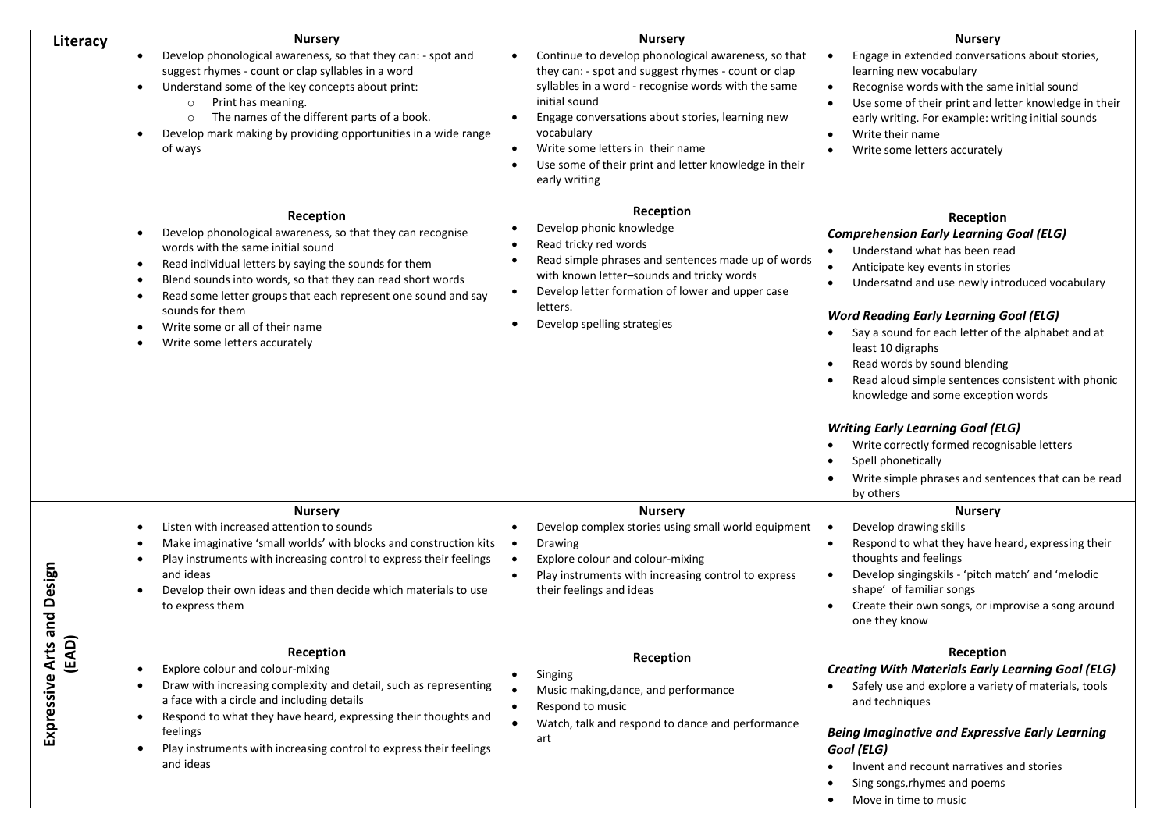|                               | <b>Nursery</b>                                                                                                                                                                                                                                                                                                                                                                                                                                                            | <b>Nursery</b>                                                                                                                                                                                                                                                                                                                                                                                                         | <b>Nursery</b>                                                                                                                                                                                                                                                                                                                                                                                                                                                                                                                                                                                                                               |
|-------------------------------|---------------------------------------------------------------------------------------------------------------------------------------------------------------------------------------------------------------------------------------------------------------------------------------------------------------------------------------------------------------------------------------------------------------------------------------------------------------------------|------------------------------------------------------------------------------------------------------------------------------------------------------------------------------------------------------------------------------------------------------------------------------------------------------------------------------------------------------------------------------------------------------------------------|----------------------------------------------------------------------------------------------------------------------------------------------------------------------------------------------------------------------------------------------------------------------------------------------------------------------------------------------------------------------------------------------------------------------------------------------------------------------------------------------------------------------------------------------------------------------------------------------------------------------------------------------|
| Literacy                      | Develop phonological awareness, so that they can: - spot and<br>$\bullet$<br>suggest rhymes - count or clap syllables in a word<br>Understand some of the key concepts about print:<br>$\bullet$<br>Print has meaning.<br>$\circ$<br>The names of the different parts of a book.<br>$\circ$<br>Develop mark making by providing opportunities in a wide range<br>of ways                                                                                                  | Continue to develop phonological awareness, so that<br>$\bullet$<br>they can: - spot and suggest rhymes - count or clap<br>syllables in a word - recognise words with the same<br>initial sound<br>Engage conversations about stories, learning new<br>$\bullet$<br>vocabulary<br>Write some letters in their name<br>$\bullet$<br>Use some of their print and letter knowledge in their<br>$\bullet$<br>early writing | Engage in extended conversations about stories,<br>$\bullet$<br>learning new vocabulary<br>Recognise words with the same initial sound<br>$\bullet$<br>Use some of their print and letter knowledge in their<br>$\bullet$<br>early writing. For example: writing initial sounds<br>Write their name<br>Write some letters accurately                                                                                                                                                                                                                                                                                                         |
|                               | Reception<br>Develop phonological awareness, so that they can recognise<br>$\bullet$<br>words with the same initial sound<br>Read individual letters by saying the sounds for them<br>$\bullet$<br>Blend sounds into words, so that they can read short words<br>$\bullet$<br>Read some letter groups that each represent one sound and say<br>$\bullet$<br>sounds for them<br>Write some or all of their name<br>$\bullet$<br>Write some letters accurately<br>$\bullet$ | Reception<br>Develop phonic knowledge<br>Read tricky red words<br>$\bullet$<br>Read simple phrases and sentences made up of words<br>$\bullet$<br>with known letter-sounds and tricky words<br>Develop letter formation of lower and upper case<br>$\bullet$<br>letters.<br>Develop spelling strategies<br>$\bullet$                                                                                                   | Reception<br><b>Comprehension Early Learning Goal (ELG)</b><br>Understand what has been read<br>Anticipate key events in stories<br>Undersatnd and use newly introduced vocabulary<br><b>Word Reading Early Learning Goal (ELG)</b><br>Say a sound for each letter of the alphabet and at<br>least 10 digraphs<br>Read words by sound blending<br>Read aloud simple sentences consistent with phonic<br>knowledge and some exception words<br><b>Writing Early Learning Goal (ELG)</b><br>Write correctly formed recognisable letters<br>Spell phonetically<br>$\bullet$<br>Write simple phrases and sentences that can be read<br>by others |
| and Design                    | <b>Nursery</b><br>Listen with increased attention to sounds<br>$\bullet$<br>Make imaginative 'small worlds' with blocks and construction kits<br>$\bullet$<br>Play instruments with increasing control to express their feelings<br>$\bullet$<br>and ideas<br>Develop their own ideas and then decide which materials to use<br>$\bullet$<br>to express them                                                                                                              | <b>Nursery</b><br>Develop complex stories using small world equipment<br>Drawing<br>$\bullet$<br>Explore colour and colour-mixing<br>$\bullet$<br>Play instruments with increasing control to express<br>$\bullet$<br>their feelings and ideas                                                                                                                                                                         | <b>Nursery</b><br>Develop drawing skills<br>$\bullet$<br>Respond to what they have heard, expressing their<br>$\bullet$<br>thoughts and feelings<br>Develop singingskils - 'pitch match' and 'melodic<br>$\bullet$<br>shape' of familiar songs<br>Create their own songs, or improvise a song around<br>one they know                                                                                                                                                                                                                                                                                                                        |
| Arts a<br>(EAD)<br>Expressive | Reception<br>Explore colour and colour-mixing<br>$\bullet$<br>Draw with increasing complexity and detail, such as representing<br>$\bullet$<br>a face with a circle and including details<br>Respond to what they have heard, expressing their thoughts and<br>$\bullet$<br>feelings<br>Play instruments with increasing control to express their feelings<br>and ideas                                                                                                   | Reception<br>Singing<br>Music making, dance, and performance<br>Respond to music<br>$\bullet$<br>Watch, talk and respond to dance and performance<br>$\bullet$<br>art                                                                                                                                                                                                                                                  | Reception<br><b>Creating With Materials Early Learning Goal (ELG)</b><br>Safely use and explore a variety of materials, tools<br>and techniques<br><b>Being Imaginative and Expressive Early Learning</b><br>Goal (ELG)<br>Invent and recount narratives and stories<br>Sing songs, rhymes and poems<br>Move in time to music                                                                                                                                                                                                                                                                                                                |